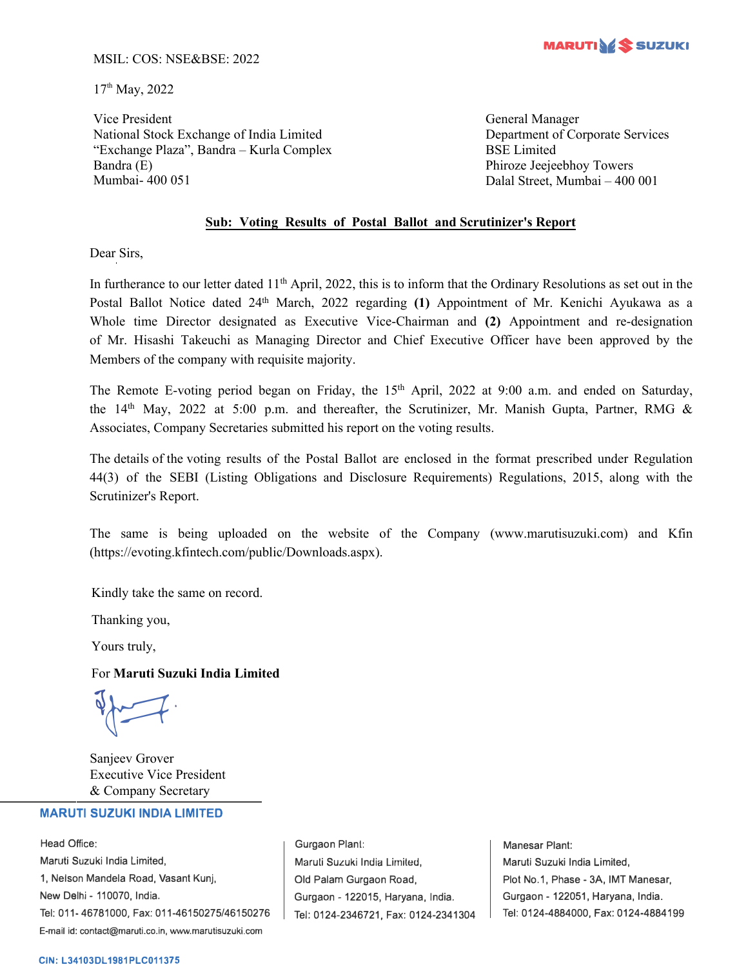

#### MSIL: COS: NSE&BSE: 2022

17<sup>th</sup> May, 2022

Vice President National Stock Exchange of India Limited "Exchange Plaza", Bandra – Kurla Complex Bandra (E) Mumbai- 400 051

General Manager Department of Corporate Services BSE Limited Phiroze Jeejeebhoy Towers Dalal Street, Mumbai – 400 001

#### **Sub: Voting Results of Postal Ballot and Scrutinizer's Report**

Dear Sirs,

In furtherance to our letter dated 11<sup>th</sup> April, 2022, this is to inform that the Ordinary Resolutions as set out in the Postal Ballot Notice dated 24<sup>th</sup> March, 2022 regarding (1) Appointment of Mr. Kenichi Ayukawa as a Whole time Director designated as Executive Vice-Chairman and **(2)** Appointment and re-designation of Mr. Hisashi Takeuchi as Managing Director and Chief Executive Officer have been approved by the Members of the company with requisite majority.

The Remote E-voting period began on Friday, the 15<sup>th</sup> April, 2022 at 9:00 a.m. and ended on Saturday, the 14<sup>th</sup> May, 2022 at 5:00 p.m. and thereafter, the Scrutinizer, Mr. Manish Gupta, Partner, RMG & Associates, Company Secretaries submitted his report on the voting results.

The details of the voting results of the Postal Ballot are enclosed in the format prescribed under Regulation 44(3) of the SEBI (Listing Obligations and Disclosure Requirements) Regulations, 2015, along with the Scrutinizer's Report.

The same is being uploaded on the website of the Company (www.marutisuzuki.com) and Kfin (https://evoting.kfintech.com/public/Downloads.aspx).

Kindly take the same on record.

Thanking you,

Yours truly,

#### For **Maruti Suzuki India Limited**

 $\sqrt{2}$ 

Sanjeev Grover Executive Vice President & Company Secretary

#### **MARUTI SUZUKI INDIA LIMITED**

Head Office: Maruti Suzuki India Limited, 1, Nelson Mandela Road, Vasant Kunj, New Delhi - 110070, India. Tel: 011-46781000, Fax: 011-46150275/46150276 E-mail id: contact@maruti.co.in, www.marutisuzuki.com

Gurgaon Plant: Maruli Suzuki India Lirniled, Old Palam Gurgaon Road, Gurgaon - 122015, Haryana, India. Tel: 0124-2346721, Fax: 0124-2341304

Manesar Plant: Maruti Suzuki India Limited, Plot No.1, Phase - 3A, IMT Manesar, Gurgaon - 122051, Haryana, India. Tel: 0124-4884000, Fax: 0124-4884199

#### **CIN: L34103DL1981PLC011375**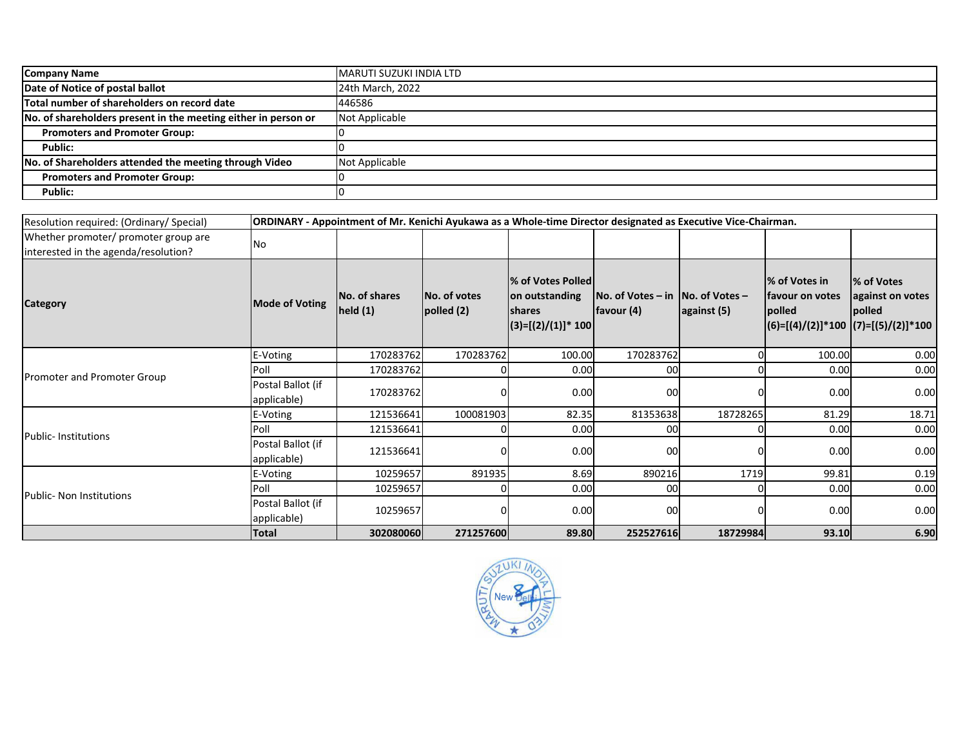| <b>Company Name</b>                                            | <b>MARUTI SUZUKI INDIA LTD</b> |
|----------------------------------------------------------------|--------------------------------|
| Date of Notice of postal ballot                                | 24th March, 2022               |
| Total number of shareholders on record date                    | 446586                         |
| No. of shareholders present in the meeting either in person or | Not Applicable                 |
| <b>Promoters and Promoter Group:</b>                           |                                |
| Public:                                                        |                                |
| No. of Shareholders attended the meeting through Video         | Not Applicable                 |
| <b>Promoters and Promoter Group:</b>                           |                                |
| Public:                                                        |                                |
|                                                                |                                |

| Resolution required: (Ordinary/Special)                                      | ORDINARY - Appointment of Mr. Kenichi Ayukawa as a Whole-time Director designated as Executive Vice-Chairman. |                          |                                    |                                                                                |                                                   |             |                                                     |                                                                                             |
|------------------------------------------------------------------------------|---------------------------------------------------------------------------------------------------------------|--------------------------|------------------------------------|--------------------------------------------------------------------------------|---------------------------------------------------|-------------|-----------------------------------------------------|---------------------------------------------------------------------------------------------|
| Whether promoter/ promoter group are<br>interested in the agenda/resolution? | <b>No</b>                                                                                                     |                          |                                    |                                                                                |                                                   |             |                                                     |                                                                                             |
| <b>Category</b>                                                              | <b>Mode of Voting</b>                                                                                         | No. of shares<br>held(1) | <b>INo. of votes</b><br>polled (2) | % of Votes Polled<br>on outstanding<br><b>Ishares</b><br>$(3)=[(2)/(1)]$ * 100 | No. of Votes – in $ No.$ of Votes –<br>favour (4) | against (5) | % of Votes in<br>lfavour on votes<br><b>lpolled</b> | % of Votes<br>against on votes<br><b>lpolled</b><br>$ (6)=[(4)/(2)]*100  (7)=[(5)/(2)]*100$ |
|                                                                              | E-Voting                                                                                                      | 170283762                | 170283762                          | 100.00                                                                         | 170283762                                         |             | 100.00                                              | 0.00                                                                                        |
| Promoter and Promoter Group                                                  | Poll                                                                                                          | 170283762                |                                    | 0.00                                                                           | 00                                                |             | 0.00                                                | 0.00                                                                                        |
|                                                                              | Postal Ballot (if<br>applicable)                                                                              | 170283762                |                                    | 0.00                                                                           | 00                                                |             | 0.00                                                | 0.00                                                                                        |
| <b>Public-Institutions</b>                                                   | E-Voting                                                                                                      | 121536641                | 100081903                          | 82.35                                                                          | 81353638                                          | 18728265    | 81.29                                               | 18.71                                                                                       |
|                                                                              | Poll                                                                                                          | 121536641                |                                    | 0.00                                                                           | 00                                                |             | 0.00                                                | 0.00                                                                                        |
|                                                                              | Postal Ballot (if<br>applicable)                                                                              | 121536641                |                                    | 0.00                                                                           | 00                                                |             | 0.00                                                | 0.00                                                                                        |
| <b>Public- Non Institutions</b>                                              | E-Voting                                                                                                      | 10259657                 | 891935                             | 8.69                                                                           | 890216                                            | 1719        | 99.81                                               | 0.19                                                                                        |
|                                                                              | Poll                                                                                                          | 10259657                 |                                    | 0.00                                                                           | 00                                                |             | 0.00                                                | 0.00                                                                                        |
|                                                                              | Postal Ballot (if<br>applicable)                                                                              | 10259657                 |                                    | 0.00                                                                           | 00                                                |             | 0.00                                                | 0.00                                                                                        |
|                                                                              | <b>Total</b>                                                                                                  | 302080060                | 271257600                          | 89.80                                                                          | 252527616                                         | 18729984    | 93.10                                               | 6.90                                                                                        |

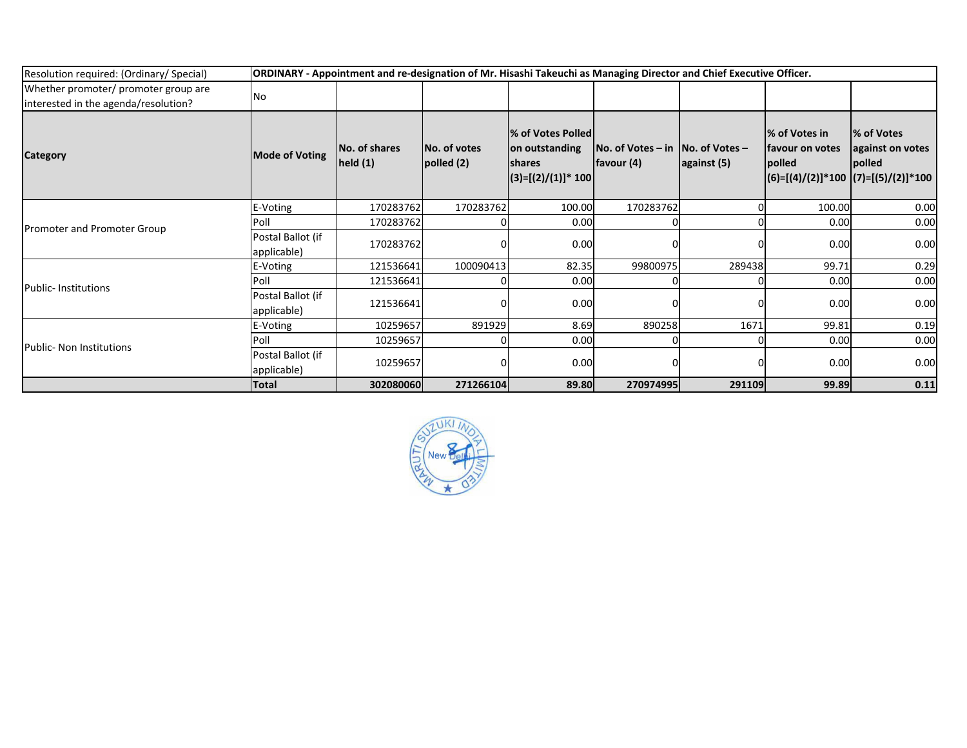| Resolution required: (Ordinary/ Special)                                     |                                  | ORDINARY - Appointment and re-designation of Mr. Hisashi Takeuchi as Managing Director and Chief Executive Officer. |                                   |                                                                                |                                                  |             |                                             |                                                                                  |  |
|------------------------------------------------------------------------------|----------------------------------|---------------------------------------------------------------------------------------------------------------------|-----------------------------------|--------------------------------------------------------------------------------|--------------------------------------------------|-------------|---------------------------------------------|----------------------------------------------------------------------------------|--|
| Whether promoter/ promoter group are<br>interested in the agenda/resolution? | <b>No</b>                        |                                                                                                                     |                                   |                                                                                |                                                  |             |                                             |                                                                                  |  |
| <b>Category</b>                                                              | <b>Mode of Voting</b>            | No. of shares<br>held(1)                                                                                            | <b>No. of votes</b><br>polled (2) | % of Votes Polled<br>on outstanding<br><b>Ishares</b><br>$(3)=[(2)/(1)]$ * 100 | $No. of Votes - in No. of Votes -$<br>favour (4) | against (5) | % of Votes in<br>lfavour on votes<br>polled | % of Votes<br>against on votes<br>polled<br>(6)=[(4)/(2)]*100  (7)=[(5)/(2)]*100 |  |
| Promoter and Promoter Group                                                  | E-Voting                         | 170283762                                                                                                           | 170283762                         | 100.00                                                                         | 170283762                                        |             | 100.00                                      | 0.00                                                                             |  |
|                                                                              | Poll                             | 170283762                                                                                                           |                                   | 0.00                                                                           |                                                  |             | 0.00                                        | 0.00                                                                             |  |
|                                                                              | Postal Ballot (if<br>applicable) | 170283762                                                                                                           |                                   | 0.00                                                                           |                                                  |             | 0.00                                        | 0.00                                                                             |  |
| <b>Public-Institutions</b>                                                   | E-Voting                         | 121536641                                                                                                           | 100090413                         | 82.35                                                                          | 99800975                                         | 289438      | 99.71                                       | 0.29                                                                             |  |
|                                                                              | Poll                             | 121536641                                                                                                           |                                   | 0.00                                                                           |                                                  |             | 0.00                                        | 0.00                                                                             |  |
|                                                                              | Postal Ballot (if<br>applicable) | 121536641                                                                                                           |                                   | 0.00                                                                           |                                                  |             | 0.00                                        | 0.00                                                                             |  |
| Public- Non Institutions                                                     | E-Voting                         | 10259657                                                                                                            | 891929                            | 8.69                                                                           | 890258                                           | 1671        | 99.81                                       | 0.19                                                                             |  |
|                                                                              | Poll                             | 10259657                                                                                                            |                                   | 0.00                                                                           |                                                  |             | 0.00                                        | 0.00                                                                             |  |
|                                                                              | Postal Ballot (if<br>applicable) | 10259657                                                                                                            |                                   | 0.00                                                                           |                                                  |             | 0.00                                        | 0.00                                                                             |  |
|                                                                              | <b>Total</b>                     | 302080060                                                                                                           | 271266104                         | 89.80                                                                          | 270974995                                        | 291109      | 99.89                                       | 0.11                                                                             |  |

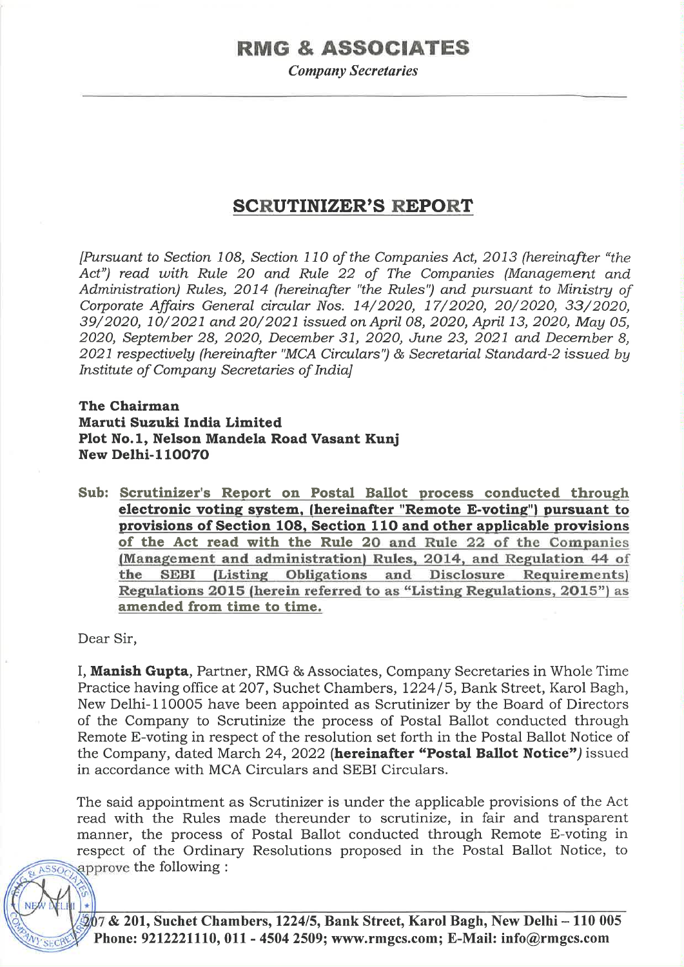# **RMG & ASSOCIATES**

**Company Secretaries** 

# **SCRUTINIZER'S REPORT**

[Pursuant to Section 108, Section 110 of the Companies Act, 2013 (hereinafter "the Act") read with Rule 20 and Rule 22 of The Companies (Management and Administration) Rules, 2014 (hereinafter "the Rules") and pursuant to Ministry of Corporate Affairs General circular Nos. 14/2020, 17/2020, 20/2020, 33/2020, 39/2020, 10/2021 and 20/2021 issued on April 08, 2020, April 13, 2020, May 05, 2020, September 28, 2020, December 31, 2020, June 23, 2021 and December 8, 2021 respectively (hereinafter "MCA Circulars") & Secretarial Standard-2 issued by Institute of Company Secretaries of Indial

# The Chairman Maruti Suzuki India Limited Plot No.1, Nelson Mandela Road Vasant Kunj **New Delhi-110070**

Sub: Scrutinizer's Report on Postal Ballot process conducted through electronic voting system, (hereinafter "Remote E-voting") pursuant to provisions of Section 108, Section 110 and other applicable provisions of the Act read with the Rule 20 and Rule 22 of the Companies (Management and administration) Rules, 2014, and Regulation 44 of the SEBI (Listing Obligations and Disclosure Requirements) Regulations 2015 (herein referred to as "Listing Regulations, 2015") as amended from time to time.

Dear Sir,

I, Manish Gupta, Partner, RMG & Associates, Company Secretaries in Whole Time Practice having office at 207, Suchet Chambers, 1224/5, Bank Street, Karol Bagh, New Delhi-110005 have been appointed as Scrutinizer by the Board of Directors of the Company to Scrutinize the process of Postal Ballot conducted through Remote E-voting in respect of the resolution set forth in the Postal Ballot Notice of the Company, dated March 24, 2022 (hereinafter "Postal Ballot Notice") issued in accordance with MCA Circulars and SEBI Circulars.

The said appointment as Scrutinizer is under the applicable provisions of the Act read with the Rules made thereunder to scrutinize, in fair and transparent manner, the process of Postal Ballot conducted through Remote E-voting in respect of the Ordinary Resolutions proposed in the Postal Ballot Notice, to approve the following :

207 & 201, Suchet Chambers, 1224/5, Bank Street, Karol Bagh, New Delhi -- 110 005 Phone: 9212221110, 011 - 4504 2509; www.rmgcs.com; E-Mail: info@rmgcs.com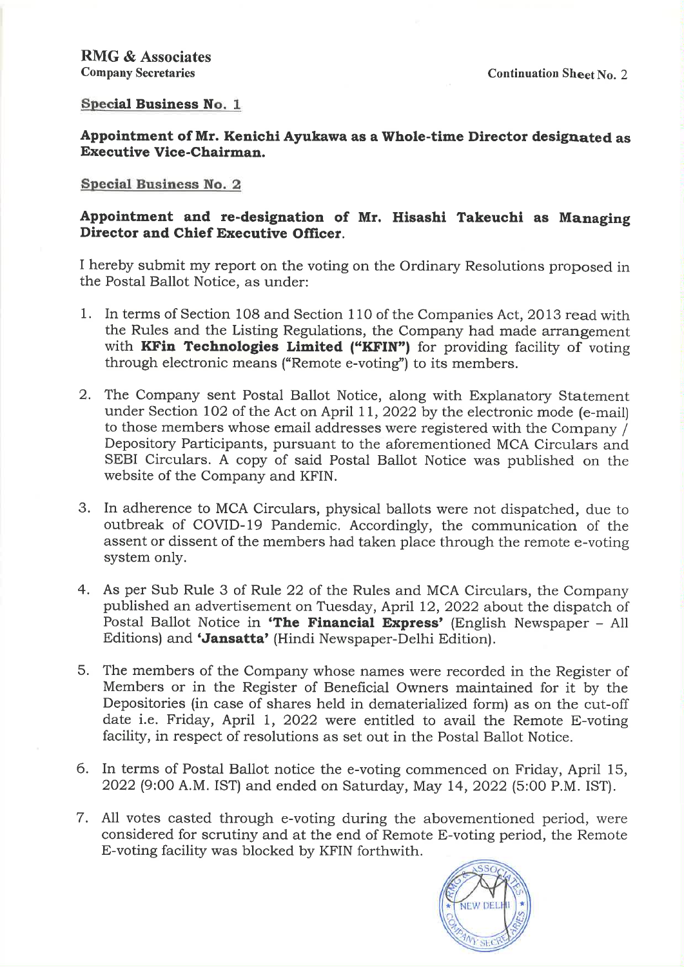# **Special Business No. 1**

Appointment of Mr. Kenichi Ayukawa as a Whole-time Director designated as **Executive Vice-Chairman.** 

# Special Business No. 2

# Appointment and re-designation of Mr. Hisashi Takeuchi as Managing Director and Chief Executive Officer.

I hereby submit my report on the voting on the Ordinary Resolutions proposed in the Postal Ballot Notice, as under:

- 1. In terms of Section 108 and Section 110 of the Companies Act, 2013 read with the Rules and the Listing Regulations, the Company had made arrangement with KFin Technologies Limited ("KFIN") for providing facility of voting through electronic means ("Remote e-voting") to its members.
- 2. The Company sent Postal Ballot Notice, along with Explanatory Statement under Section 102 of the Act on April 11, 2022 by the electronic mode (e-mail) to those members whose email addresses were registered with the Company / Depository Participants, pursuant to the aforementioned MCA Circulars and SEBI Circulars. A copy of said Postal Ballot Notice was published on the website of the Company and KFIN.
- 3. In adherence to MCA Circulars, physical ballots were not dispatched, due to outbreak of COVID-19 Pandemic. Accordingly, the communication of the assent or dissent of the members had taken place through the remote e-voting system only.
- 4. As per Sub Rule 3 of Rule 22 of the Rules and MCA Circulars, the Company published an advertisement on Tuesday, April 12, 2022 about the dispatch of Postal Ballot Notice in 'The Financial Express' (English Newspaper - All Editions) and 'Jansatta' (Hindi Newspaper-Delhi Edition).
- 5. The members of the Company whose names were recorded in the Register of Members or in the Register of Beneficial Owners maintained for it by the Depositories (in case of shares held in dematerialized form) as on the cut-off date i.e. Friday, April 1, 2022 were entitled to avail the Remote E-voting facility, in respect of resolutions as set out in the Postal Ballot Notice.
- 6. In terms of Postal Ballot notice the e-voting commenced on Friday, April 15, 2022 (9:00 A.M. IST) and ended on Saturday, May 14, 2022 (5:00 P.M. IST).
- 7. All votes casted through e-voting during the abovementioned period, were considered for scrutiny and at the end of Remote E-voting period, the Remote E-voting facility was blocked by KFIN forthwith.

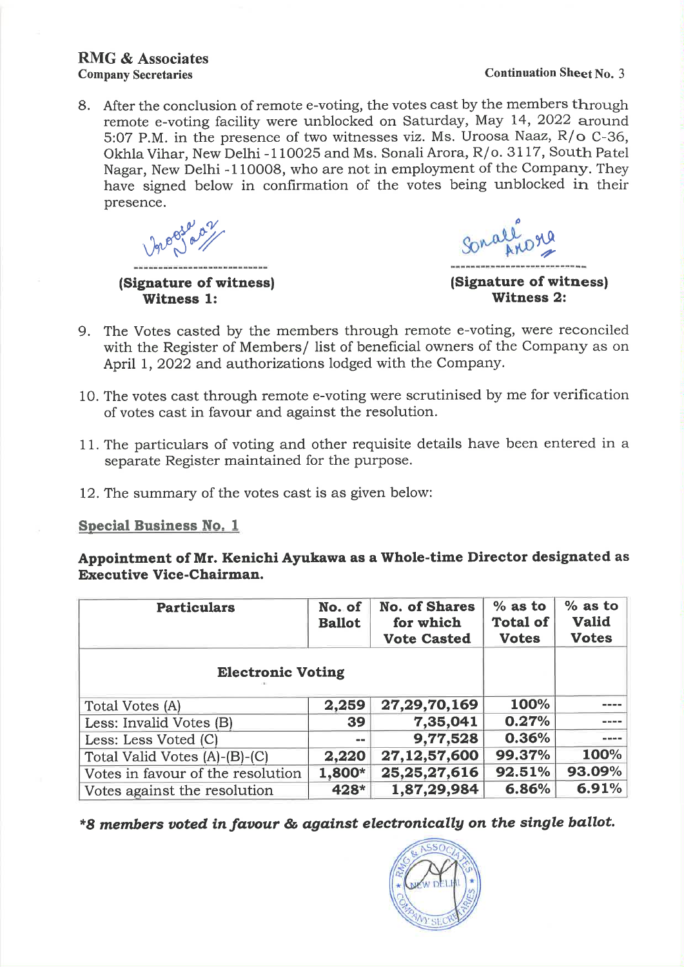# **RMG & Associates Company Secretaries**

#### **Continuation Sheet No. 3**

8. After the conclusion of remote e-voting, the votes cast by the members through remote e-voting facility were unblocked on Saturday, May 14, 2022 around 5:07 P.M. in the presence of two witnesses viz. Ms. Uroosa Naaz, R/o C-36, Okhla Vihar, New Delhi -110025 and Ms. Sonali Arora, R/o. 3117, South Patel Nagar, New Delhi -110008, who are not in employment of the Company. They have signed below in confirmation of the votes being unblocked in their presence.

<u>na tao ao amin'ny tanàna mandritry dia G</u>

(Signature of witness) **Witness 1:** 

allore

(Signature of witness) **Witness 2:** 

- 9. The Votes casted by the members through remote e-voting, were reconciled with the Register of Members/ list of beneficial owners of the Company as on April 1, 2022 and authorizations lodged with the Company.
- 10. The votes cast through remote e-voting were scrutinised by me for verification of votes cast in favour and against the resolution.
- 11. The particulars of voting and other requisite details have been entered in a separate Register maintained for the purpose.
- 12. The summary of the votes cast is as given below:

**Special Business No. 1** 

Appointment of Mr. Kenichi Ayukawa as a Whole-time Director designated as **Executive Vice-Chairman.** 

| <b>Particulars</b>                | No. of<br><b>Ballot</b> | <b>No. of Shares</b><br>for which<br><b>Vote Casted</b> | $%$ as to<br><b>Total of</b><br><b>Votes</b> | $%$ as to<br><b>Valid</b><br><b>Votes</b> |
|-----------------------------------|-------------------------|---------------------------------------------------------|----------------------------------------------|-------------------------------------------|
| <b>Electronic Voting</b>          |                         |                                                         |                                              |                                           |
| Total Votes (A)                   | 2,259                   | 27,29,70,169                                            | 100%                                         |                                           |
| Less: Invalid Votes (B)           | 39                      | 7,35,041                                                | 0.27%                                        |                                           |
| Less: Less Voted (C)              | $- -$                   | 9,77,528                                                | 0.36%                                        |                                           |
| Total Valid Votes (A)-(B)-(C)     | 2,220                   | 27, 12, 57, 600                                         | 99.37%                                       | 100%                                      |
| Votes in favour of the resolution | 1,800*                  | 25, 25, 27, 616                                         | 92.51%                                       | 93.09%                                    |
| Votes against the resolution      | 428*                    | 1,87,29,984                                             | 6.86%                                        | 6.91%                                     |

\*8 members voted in favour & against electronically on the single ballot.